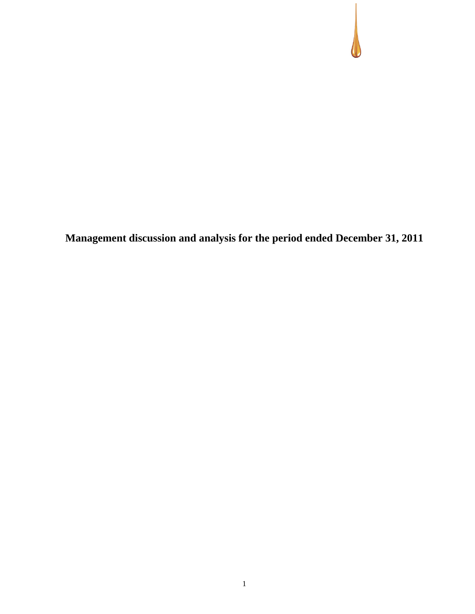**Management discussion and analysis for the period ended December 31, 2011**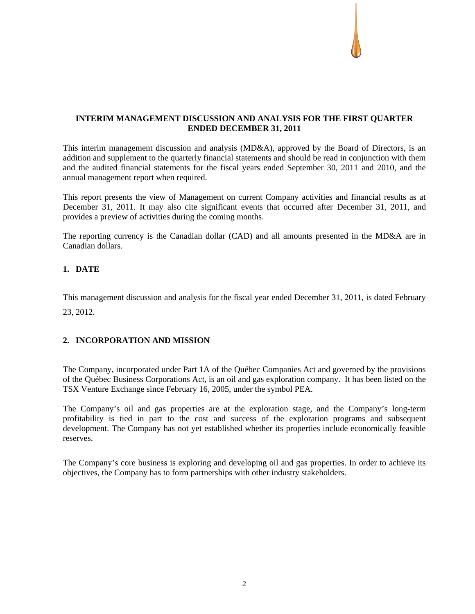## **INTERIM MANAGEMENT DISCUSSION AND ANALYSIS FOR THE FIRST QUARTER ENDED DECEMBER 31, 2011**

This interim management discussion and analysis (MD&A), approved by the Board of Directors, is an addition and supplement to the quarterly financial statements and should be read in conjunction with them and the audited financial statements for the fiscal years ended September 30, 2011 and 2010, and the annual management report when required.

This report presents the view of Management on current Company activities and financial results as at December 31, 2011. It may also cite significant events that occurred after December 31, 2011, and provides a preview of activities during the coming months.

The reporting currency is the Canadian dollar (CAD) and all amounts presented in the MD&A are in Canadian dollars.

## **1. DATE**

This management discussion and analysis for the fiscal year ended December 31, 2011, is dated February

23, 2012.

## **2. INCORPORATION AND MISSION**

The Company, incorporated under Part 1A of the Québec Companies Act and governed by the provisions of the Québec Business Corporations Act, is an oil and gas exploration company. It has been listed on the TSX Venture Exchange since February 16, 2005, under the symbol PEA.

The Company's oil and gas properties are at the exploration stage, and the Company's long-term profitability is tied in part to the cost and success of the exploration programs and subsequent development. The Company has not yet established whether its properties include economically feasible reserves.

The Company's core business is exploring and developing oil and gas properties. In order to achieve its objectives, the Company has to form partnerships with other industry stakeholders.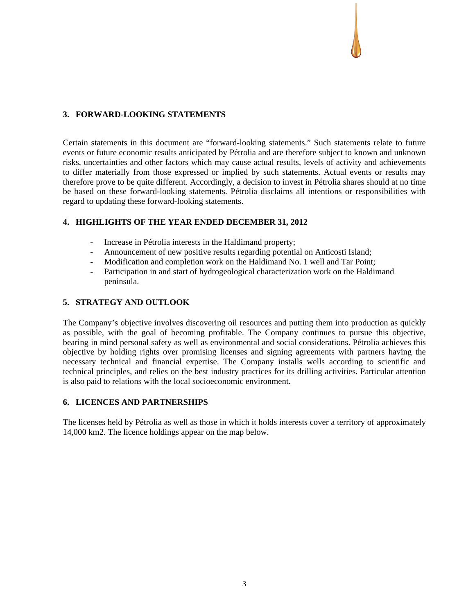## **3. FORWARD-LOOKING STATEMENTS**

Certain statements in this document are "forward-looking statements." Such statements relate to future events or future economic results anticipated by Pétrolia and are therefore subject to known and unknown risks, uncertainties and other factors which may cause actual results, levels of activity and achievements to differ materially from those expressed or implied by such statements. Actual events or results may therefore prove to be quite different. Accordingly, a decision to invest in Pétrolia shares should at no time be based on these forward-looking statements. Pétrolia disclaims all intentions or responsibilities with regard to updating these forward-looking statements.

## **4. HIGHLIGHTS OF THE YEAR ENDED DECEMBER 31, 2012**

- Increase in Pétrolia interests in the Haldimand property;
- Announcement of new positive results regarding potential on Anticosti Island;
- Modification and completion work on the Haldimand No. 1 well and Tar Point;
- Participation in and start of hydrogeological characterization work on the Haldimand peninsula.

## **5. STRATEGY AND OUTLOOK**

The Company's objective involves discovering oil resources and putting them into production as quickly as possible, with the goal of becoming profitable. The Company continues to pursue this objective, bearing in mind personal safety as well as environmental and social considerations. Pétrolia achieves this objective by holding rights over promising licenses and signing agreements with partners having the necessary technical and financial expertise. The Company installs wells according to scientific and technical principles, and relies on the best industry practices for its drilling activities. Particular attention is also paid to relations with the local socioeconomic environment.

#### **6. LICENCES AND PARTNERSHIPS**

The licenses held by Pétrolia as well as those in which it holds interests cover a territory of approximately 14,000 km2. The licence holdings appear on the map below.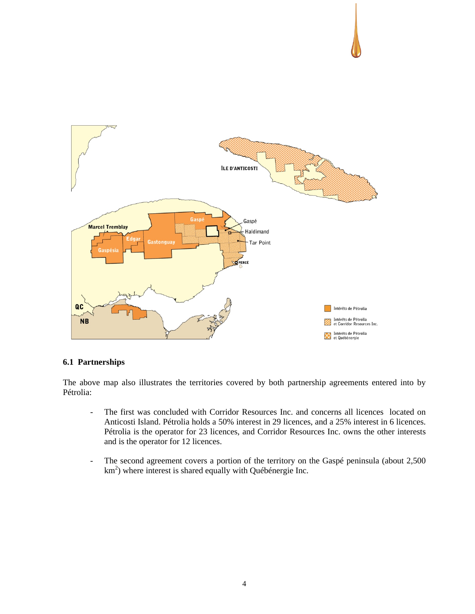

# **6.1 Partnerships**

The above map also illustrates the territories covered by both partnership agreements entered into by Pétrolia:

- The first was concluded with Corridor Resources Inc. and concerns all licences located on Anticosti Island. Pétrolia holds a 50% interest in 29 licences, and a 25% interest in 6 licences. Pétrolia is the operator for 23 licences, and Corridor Resources Inc. owns the other interests and is the operator for 12 licences.
- The second agreement covers a portion of the territory on the Gaspé peninsula (about 2,500 km<sup>2</sup>) where interest is shared equally with Québénergie Inc.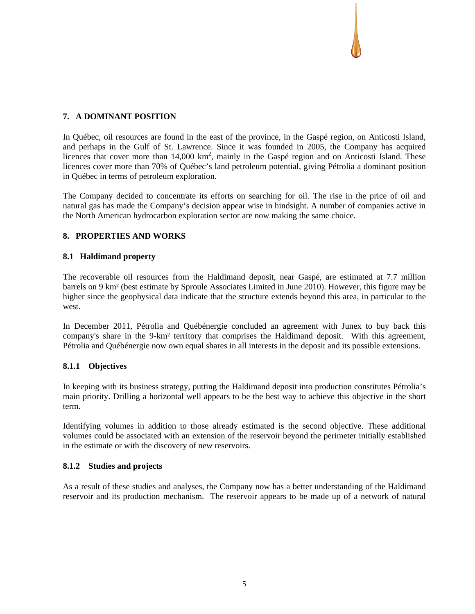## **7. A DOMINANT POSITION**

In Québec, oil resources are found in the east of the province, in the Gaspé region, on Anticosti Island, and perhaps in the Gulf of St. Lawrence. Since it was founded in 2005, the Company has acquired licences that cover more than 14,000 km<sup>2</sup>, mainly in the Gaspé region and on Anticosti Island. These licences cover more than 70% of Québec's land petroleum potential, giving Pétrolia a dominant position in Québec in terms of petroleum exploration.

The Company decided to concentrate its efforts on searching for oil. The rise in the price of oil and natural gas has made the Company's decision appear wise in hindsight. A number of companies active in the North American hydrocarbon exploration sector are now making the same choice.

## **8. PROPERTIES AND WORKS**

## **8.1 Haldimand property**

The recoverable oil resources from the Haldimand deposit, near Gaspé, are estimated at 7.7 million barrels on 9 km² (best estimate by Sproule Associates Limited in June 2010). However, this figure may be higher since the geophysical data indicate that the structure extends beyond this area, in particular to the west.

In December 2011, Pétrolia and Québénergie concluded an agreement with Junex to buy back this company's share in the 9-km² territory that comprises the Haldimand deposit. With this agreement, Pétrolia and Québénergie now own equal shares in all interests in the deposit and its possible extensions.

## **8.1.1 Objectives**

In keeping with its business strategy, putting the Haldimand deposit into production constitutes Pétrolia's main priority. Drilling a horizontal well appears to be the best way to achieve this objective in the short term.

Identifying volumes in addition to those already estimated is the second objective. These additional volumes could be associated with an extension of the reservoir beyond the perimeter initially established in the estimate or with the discovery of new reservoirs.

## **8.1.2 Studies and projects**

As a result of these studies and analyses, the Company now has a better understanding of the Haldimand reservoir and its production mechanism. The reservoir appears to be made up of a network of natural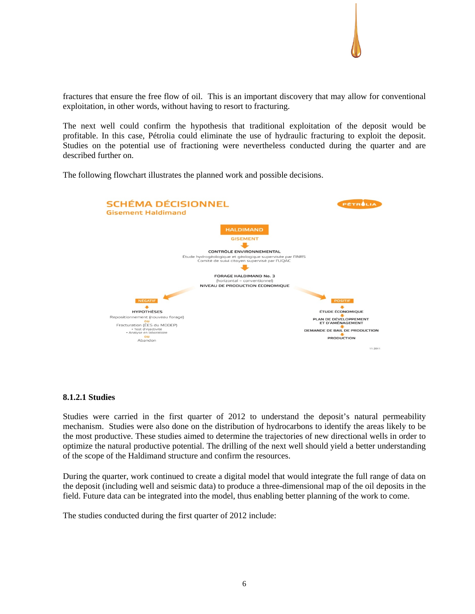

fractures that ensure the free flow of oil. This is an important discovery that may allow for conventional exploitation, in other words, without having to resort to fracturing.

The next well could confirm the hypothesis that traditional exploitation of the deposit would be profitable. In this case, Pétrolia could eliminate the use of hydraulic fracturing to exploit the deposit. Studies on the potential use of fractioning were nevertheless conducted during the quarter and are described further on.

The following flowchart illustrates the planned work and possible decisions.



#### **8.1.2.1 Studies**

Studies were carried in the first quarter of 2012 to understand the deposit's natural permeability mechanism. Studies were also done on the distribution of hydrocarbons to identify the areas likely to be the most productive. These studies aimed to determine the trajectories of new directional wells in order to optimize the natural productive potential. The drilling of the next well should yield a better understanding of the scope of the Haldimand structure and confirm the resources.

During the quarter, work continued to create a digital model that would integrate the full range of data on the deposit (including well and seismic data) to produce a three-dimensional map of the oil deposits in the field. Future data can be integrated into the model, thus enabling better planning of the work to come.

The studies conducted during the first quarter of 2012 include: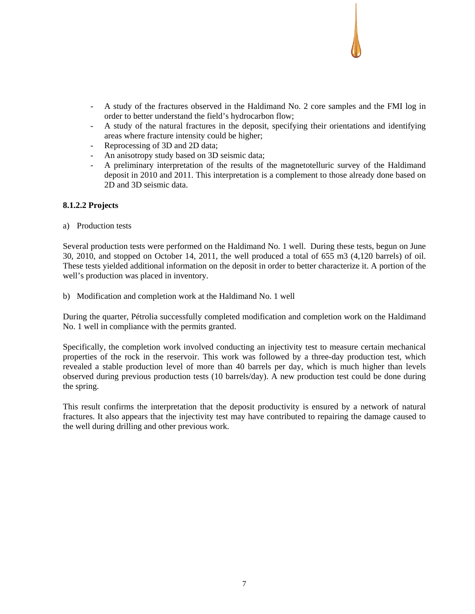- A study of the fractures observed in the Haldimand No. 2 core samples and the FMI log in order to better understand the field's hydrocarbon flow;
- A study of the natural fractures in the deposit, specifying their orientations and identifying areas where fracture intensity could be higher;
- Reprocessing of 3D and 2D data;
- An anisotropy study based on 3D seismic data;
- A preliminary interpretation of the results of the magnetotelluric survey of the Haldimand deposit in 2010 and 2011. This interpretation is a complement to those already done based on 2D and 3D seismic data.

### **8.1.2.2 Projects**

a) Production tests

Several production tests were performed on the Haldimand No. 1 well. During these tests, begun on June 30, 2010, and stopped on October 14, 2011, the well produced a total of 655 m3 (4,120 barrels) of oil. These tests yielded additional information on the deposit in order to better characterize it. A portion of the well's production was placed in inventory.

b) Modification and completion work at the Haldimand No. 1 well

During the quarter, Pétrolia successfully completed modification and completion work on the Haldimand No. 1 well in compliance with the permits granted.

Specifically, the completion work involved conducting an injectivity test to measure certain mechanical properties of the rock in the reservoir. This work was followed by a three-day production test, which revealed a stable production level of more than 40 barrels per day, which is much higher than levels observed during previous production tests (10 barrels/day). A new production test could be done during the spring.

This result confirms the interpretation that the deposit productivity is ensured by a network of natural fractures. It also appears that the injectivity test may have contributed to repairing the damage caused to the well during drilling and other previous work.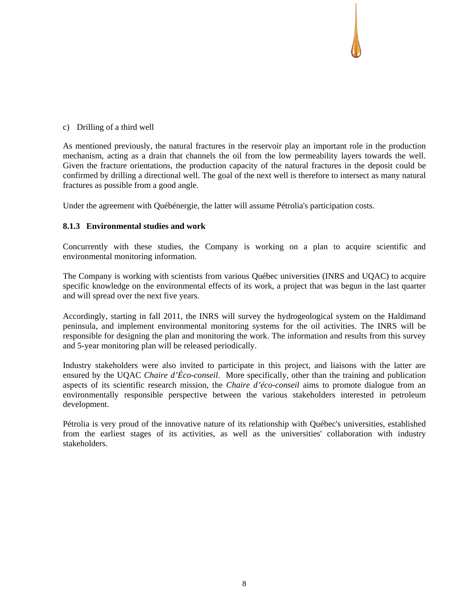## c) Drilling of a third well

As mentioned previously, the natural fractures in the reservoir play an important role in the production mechanism, acting as a drain that channels the oil from the low permeability layers towards the well. Given the fracture orientations, the production capacity of the natural fractures in the deposit could be confirmed by drilling a directional well. The goal of the next well is therefore to intersect as many natural fractures as possible from a good angle.

Under the agreement with Québénergie, the latter will assume Pétrolia's participation costs.

## **8.1.3 Environmental studies and work**

Concurrently with these studies, the Company is working on a plan to acquire scientific and environmental monitoring information.

The Company is working with scientists from various Québec universities (INRS and UQAC) to acquire specific knowledge on the environmental effects of its work, a project that was begun in the last quarter and will spread over the next five years.

Accordingly, starting in fall 2011, the INRS will survey the hydrogeological system on the Haldimand peninsula, and implement environmental monitoring systems for the oil activities. The INRS will be responsible for designing the plan and monitoring the work. The information and results from this survey and 5-year monitoring plan will be released periodically.

Industry stakeholders were also invited to participate in this project, and liaisons with the latter are ensured by the UQAC *Chaire d'Éco-conseil*. More specifically, other than the training and publication aspects of its scientific research mission, the *Chaire d'éco-conseil* aims to promote dialogue from an environmentally responsible perspective between the various stakeholders interested in petroleum development.

Pétrolia is very proud of the innovative nature of its relationship with Québec's universities, established from the earliest stages of its activities, as well as the universities' collaboration with industry stakeholders.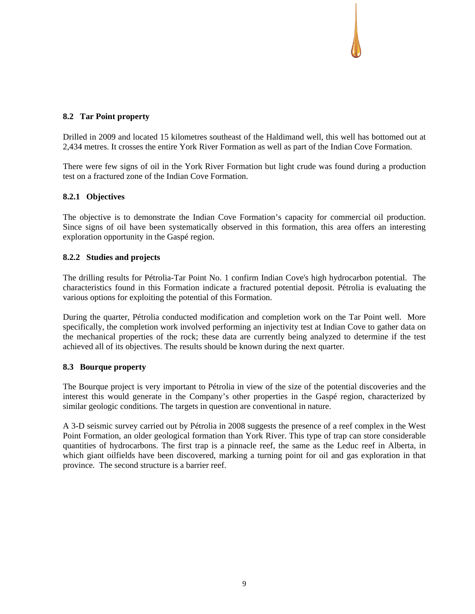## **8.2 Tar Point property**

Drilled in 2009 and located 15 kilometres southeast of the Haldimand well, this well has bottomed out at 2,434 metres. It crosses the entire York River Formation as well as part of the Indian Cove Formation.

There were few signs of oil in the York River Formation but light crude was found during a production test on a fractured zone of the Indian Cove Formation.

## **8.2.1 Objectives**

The objective is to demonstrate the Indian Cove Formation's capacity for commercial oil production. Since signs of oil have been systematically observed in this formation, this area offers an interesting exploration opportunity in the Gaspé region.

## **8.2.2 Studies and projects**

The drilling results for Pétrolia-Tar Point No. 1 confirm Indian Cove's high hydrocarbon potential. The characteristics found in this Formation indicate a fractured potential deposit. Pétrolia is evaluating the various options for exploiting the potential of this Formation.

During the quarter, Pétrolia conducted modification and completion work on the Tar Point well. More specifically, the completion work involved performing an injectivity test at Indian Cove to gather data on the mechanical properties of the rock; these data are currently being analyzed to determine if the test achieved all of its objectives. The results should be known during the next quarter.

## **8.3 Bourque property**

The Bourque project is very important to Pétrolia in view of the size of the potential discoveries and the interest this would generate in the Company's other properties in the Gaspé region, characterized by similar geologic conditions. The targets in question are conventional in nature.

A 3-D seismic survey carried out by Pétrolia in 2008 suggests the presence of a reef complex in the West Point Formation, an older geological formation than York River. This type of trap can store considerable quantities of hydrocarbons. The first trap is a pinnacle reef, the same as the Leduc reef in Alberta, in which giant oilfields have been discovered, marking a turning point for oil and gas exploration in that province. The second structure is a barrier reef.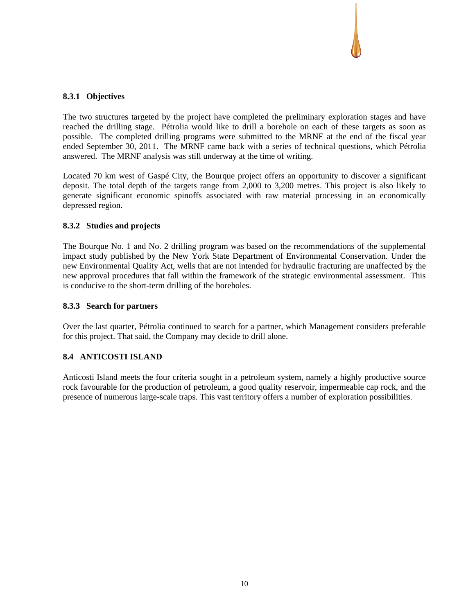## **8.3.1 Objectives**

The two structures targeted by the project have completed the preliminary exploration stages and have reached the drilling stage. Pétrolia would like to drill a borehole on each of these targets as soon as possible. The completed drilling programs were submitted to the MRNF at the end of the fiscal year ended September 30, 2011. The MRNF came back with a series of technical questions, which Pétrolia answered. The MRNF analysis was still underway at the time of writing.

Located 70 km west of Gaspé City, the Bourque project offers an opportunity to discover a significant deposit. The total depth of the targets range from 2,000 to 3,200 metres. This project is also likely to generate significant economic spinoffs associated with raw material processing in an economically depressed region.

### **8.3.2 Studies and projects**

The Bourque No. 1 and No. 2 drilling program was based on the recommendations of the supplemental impact study published by the New York State Department of Environmental Conservation. Under the new Environmental Quality Act, wells that are not intended for hydraulic fracturing are unaffected by the new approval procedures that fall within the framework of the strategic environmental assessment. This is conducive to the short-term drilling of the boreholes.

### **8.3.3 Search for partners**

Over the last quarter, Pétrolia continued to search for a partner, which Management considers preferable for this project. That said, the Company may decide to drill alone.

#### **8.4 ANTICOSTI ISLAND**

Anticosti Island meets the four criteria sought in a petroleum system, namely a highly productive source rock favourable for the production of petroleum, a good quality reservoir, impermeable cap rock, and the presence of numerous large-scale traps. This vast territory offers a number of exploration possibilities.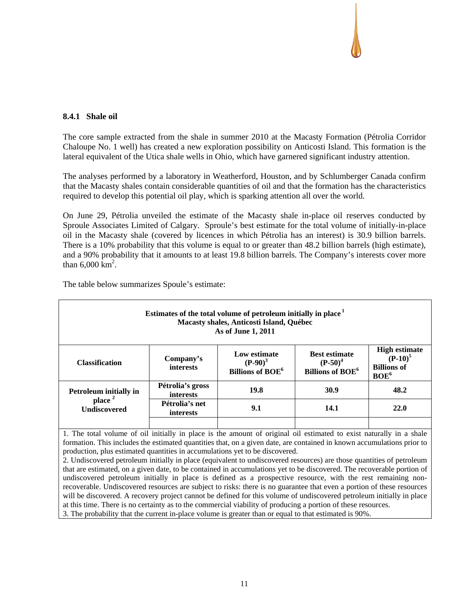### **8.4.1 Shale oil**

The core sample extracted from the shale in summer 2010 at the Macasty Formation (Pétrolia Corridor Chaloupe No. 1 well) has created a new exploration possibility on Anticosti Island. This formation is the lateral equivalent of the Utica shale wells in Ohio, which have garnered significant industry attention.

The analyses performed by a laboratory in Weatherford, Houston, and by Schlumberger Canada confirm that the Macasty shales contain considerable quantities of oil and that the formation has the characteristics required to develop this potential oil play, which is sparking attention all over the world.

On June 29, Pétrolia unveiled the estimate of the Macasty shale in-place oil reserves conducted by Sproule Associates Limited of Calgary. Sproule's best estimate for the total volume of initially-in-place oil in the Macasty shale (covered by licences in which Pétrolia has an interest) is 30.9 billion barrels. There is a 10% probability that this volume is equal to or greater than 48.2 billion barrels (high estimate), and a 90% probability that it amounts to at least 19.8 billion barrels. The Company's interests cover more than  $6,000 \text{ km}^2$ .

| Estimates of the total volume of petroleum initially in place <sup>1</sup><br>Macasty shales, Anticosti Island, Québec<br>As of June 1, 2011 |                                      |                                                                  |                                                                          |                                                                              |  |
|----------------------------------------------------------------------------------------------------------------------------------------------|--------------------------------------|------------------------------------------------------------------|--------------------------------------------------------------------------|------------------------------------------------------------------------------|--|
| <b>Classification</b>                                                                                                                        | Company's<br>interests               | Low estimate<br>$(P-90)^3$<br><b>Billions of BOE<sup>6</sup></b> | <b>Best estimate</b><br>$(P-50)^4$<br><b>Billions of BOE<sup>6</sup></b> | <b>High estimate</b><br>$(P-10)^5$<br><b>Billions of</b><br>BOE <sup>6</sup> |  |
| <b>Petroleum initially in</b>                                                                                                                | Pétrolia's gross<br><i>interests</i> | 19.8                                                             | 30.9                                                                     | 48.2                                                                         |  |
| place <sup>2</sup><br><b>Undiscovered</b>                                                                                                    | Pétrolia's net<br><i>interests</i>   | 9.1                                                              | 14.1                                                                     | 22.0                                                                         |  |
|                                                                                                                                              |                                      |                                                                  |                                                                          |                                                                              |  |

The table below summarizes Spoule's estimate:

1. The total volume of oil initially in place is the amount of original oil estimated to exist naturally in a shale formation. This includes the estimated quantities that, on a given date, are contained in known accumulations prior to production, plus estimated quantities in accumulations yet to be discovered.

2. Undiscovered petroleum initially in place (equivalent to undiscovered resources) are those quantities of petroleum that are estimated, on a given date, to be contained in accumulations yet to be discovered. The recoverable portion of undiscovered petroleum initially in place is defined as a prospective resource, with the rest remaining nonrecoverable. Undiscovered resources are subject to risks: there is no guarantee that even a portion of these resources will be discovered. A recovery project cannot be defined for this volume of undiscovered petroleum initially in place at this time. There is no certainty as to the commercial viability of producing a portion of these resources. 3. The probability that the current in-place volume is greater than or equal to that estimated is 90%.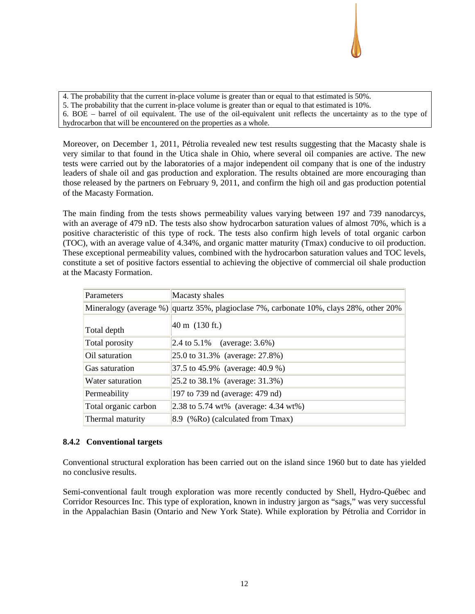4. The probability that the current in-place volume is greater than or equal to that estimated is 50%.

5. The probability that the current in-place volume is greater than or equal to that estimated is 10%.

6. BOE – barrel of oil equivalent. The use of the oil-equivalent unit reflects the uncertainty as to the type of hydrocarbon that will be encountered on the properties as a whole.

Moreover, on December 1, 2011, Pétrolia revealed new test results suggesting that the Macasty shale is very similar to that found in the Utica shale in Ohio, where several oil companies are active. The new tests were carried out by the laboratories of a major independent oil company that is one of the industry leaders of shale oil and gas production and exploration. The results obtained are more encouraging than those released by the partners on February 9, 2011, and confirm the high oil and gas production potential of the Macasty Formation.

The main finding from the tests shows permeability values varying between 197 and 739 nanodarcys, with an average of 479 nD. The tests also show hydrocarbon saturation values of almost 70%, which is a positive characteristic of this type of rock. The tests also confirm high levels of total organic carbon (TOC), with an average value of 4.34%, and organic matter maturity (Tmax) conducive to oil production. These exceptional permeability values, combined with the hydrocarbon saturation values and TOC levels, constitute a set of positive factors essential to achieving the objective of commercial oil shale production at the Macasty Formation.

| Parameters           | Macasty shales                                                                         |
|----------------------|----------------------------------------------------------------------------------------|
|                      | Mineralogy (average %) quartz 35%, plagioclase 7%, carbonate 10%, clays 28%, other 20% |
| Total depth          | $40 \text{ m}$ (130 ft.)                                                               |
| Total porosity       | $ 2.4 \text{ to } 5.1\%$ (average: 3.6%)                                               |
| Oil saturation       | 25.0 to 31.3% (average: 27.8%)                                                         |
| Gas saturation       | 37.5 to 45.9% (average: 40.9 %)                                                        |
| Water saturation     | $ 25.2 \text{ to } 38.1\%$ (average: 31.3%)                                            |
| Permeability         | 197 to 739 nd (average: 479 nd)                                                        |
| Total organic carbon | 2.38 to 5.74 wt% (average: $4.34$ wt%)                                                 |
| Thermal maturity     | 8.9 (%Ro) (calculated from Tmax)                                                       |

## **8.4.2 Conventional targets**

Conventional structural exploration has been carried out on the island since 1960 but to date has yielded no conclusive results.

Semi-conventional fault trough exploration was more recently conducted by Shell, Hydro-Québec and Corridor Resources Inc. This type of exploration, known in industry jargon as "sags," was very successful in the Appalachian Basin (Ontario and New York State). While exploration by Pétrolia and Corridor in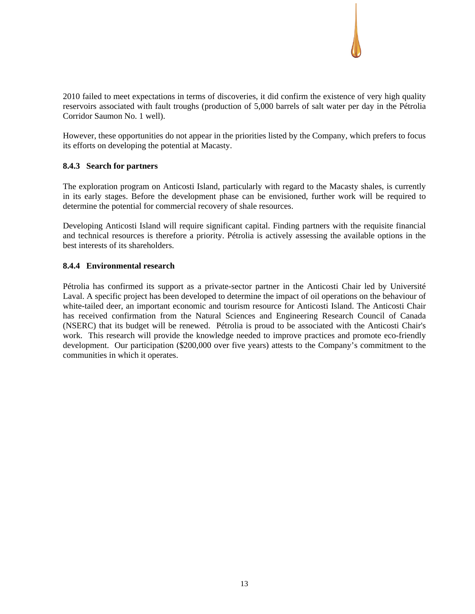2010 failed to meet expectations in terms of discoveries, it did confirm the existence of very high quality reservoirs associated with fault troughs (production of 5,000 barrels of salt water per day in the Pétrolia Corridor Saumon No. 1 well).

However, these opportunities do not appear in the priorities listed by the Company, which prefers to focus its efforts on developing the potential at Macasty.

### **8.4.3 Search for partners**

The exploration program on Anticosti Island, particularly with regard to the Macasty shales, is currently in its early stages. Before the development phase can be envisioned, further work will be required to determine the potential for commercial recovery of shale resources.

Developing Anticosti Island will require significant capital. Finding partners with the requisite financial and technical resources is therefore a priority. Pétrolia is actively assessing the available options in the best interests of its shareholders.

### **8.4.4 Environmental research**

Pétrolia has confirmed its support as a private-sector partner in the Anticosti Chair led by Université Laval. A specific project has been developed to determine the impact of oil operations on the behaviour of white-tailed deer, an important economic and tourism resource for Anticosti Island. The Anticosti Chair has received confirmation from the Natural Sciences and Engineering Research Council of Canada (NSERC) that its budget will be renewed. Pétrolia is proud to be associated with the Anticosti Chair's work. This research will provide the knowledge needed to improve practices and promote eco-friendly development. Our participation (\$200,000 over five years) attests to the Company's commitment to the communities in which it operates.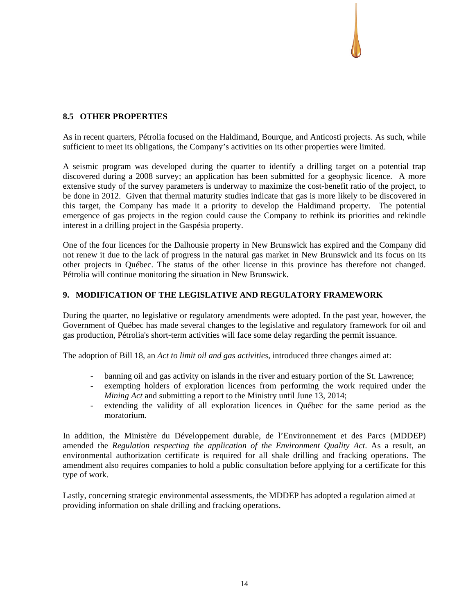## **8.5 OTHER PROPERTIES**

As in recent quarters, Pétrolia focused on the Haldimand, Bourque, and Anticosti projects. As such, while sufficient to meet its obligations, the Company's activities on its other properties were limited.

A seismic program was developed during the quarter to identify a drilling target on a potential trap discovered during a 2008 survey; an application has been submitted for a geophysic licence. A more extensive study of the survey parameters is underway to maximize the cost-benefit ratio of the project, to be done in 2012. Given that thermal maturity studies indicate that gas is more likely to be discovered in this target, the Company has made it a priority to develop the Haldimand property. The potential emergence of gas projects in the region could cause the Company to rethink its priorities and rekindle interest in a drilling project in the Gaspésia property.

One of the four licences for the Dalhousie property in New Brunswick has expired and the Company did not renew it due to the lack of progress in the natural gas market in New Brunswick and its focus on its other projects in Québec. The status of the other license in this province has therefore not changed. Pétrolia will continue monitoring the situation in New Brunswick.

## **9. MODIFICATION OF THE LEGISLATIVE AND REGULATORY FRAMEWORK**

During the quarter, no legislative or regulatory amendments were adopted. In the past year, however, the Government of Québec has made several changes to the legislative and regulatory framework for oil and gas production, Pétrolia's short-term activities will face some delay regarding the permit issuance.

The adoption of Bill 18, an *Act to limit oil and gas activities*, introduced three changes aimed at:

- banning oil and gas activity on islands in the river and estuary portion of the St. Lawrence;
- exempting holders of exploration licences from performing the work required under the *Mining Act* and submitting a report to the Ministry until June 13, 2014;
- extending the validity of all exploration licences in Québec for the same period as the moratorium.

In addition, the Ministère du Développement durable, de l'Environnement et des Parcs (MDDEP) amended the *Regulation respecting the application of the Environment Quality Act*. As a result, an environmental authorization certificate is required for all shale drilling and fracking operations. The amendment also requires companies to hold a public consultation before applying for a certificate for this type of work.

Lastly, concerning strategic environmental assessments, the MDDEP has adopted a regulation aimed at providing information on shale drilling and fracking operations.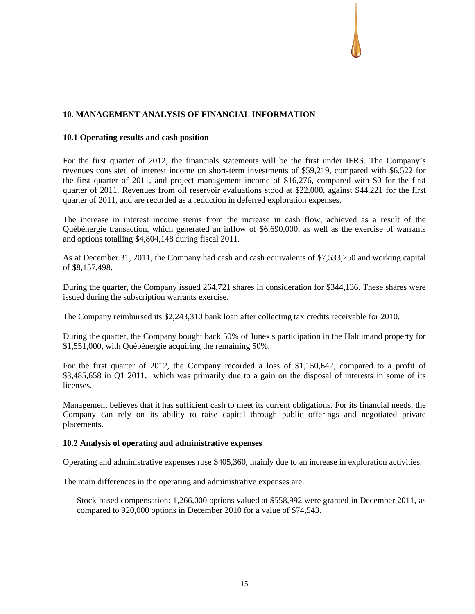## **10. MANAGEMENT ANALYSIS OF FINANCIAL INFORMATION**

#### **10.1 Operating results and cash position**

For the first quarter of 2012, the financials statements will be the first under IFRS. The Company's revenues consisted of interest income on short-term investments of \$59,219, compared with \$6,522 for the first quarter of 2011, and project management income of \$16,276, compared with \$0 for the first quarter of 2011. Revenues from oil reservoir evaluations stood at \$22,000, against \$44,221 for the first quarter of 2011, and are recorded as a reduction in deferred exploration expenses.

The increase in interest income stems from the increase in cash flow, achieved as a result of the Québénergie transaction, which generated an inflow of \$6,690,000, as well as the exercise of warrants and options totalling \$4,804,148 during fiscal 2011.

As at December 31, 2011, the Company had cash and cash equivalents of \$7,533,250 and working capital of \$8,157,498.

During the quarter, the Company issued 264,721 shares in consideration for \$344,136. These shares were issued during the subscription warrants exercise.

The Company reimbursed its \$2,243,310 bank loan after collecting tax credits receivable for 2010.

During the quarter, the Company bought back 50% of Junex's participation in the Haldimand property for \$1,551,000, with Québénergie acquiring the remaining 50%.

For the first quarter of 2012, the Company recorded a loss of \$1,150,642, compared to a profit of \$3,485,658 in Q1 2011, which was primarily due to a gain on the disposal of interests in some of its licenses.

Management believes that it has sufficient cash to meet its current obligations. For its financial needs, the Company can rely on its ability to raise capital through public offerings and negotiated private placements.

#### **10.2 Analysis of operating and administrative expenses**

Operating and administrative expenses rose \$405,360, mainly due to an increase in exploration activities.

The main differences in the operating and administrative expenses are:

- Stock-based compensation: 1,266,000 options valued at \$558,992 were granted in December 2011, as compared to 920,000 options in December 2010 for a value of \$74,543.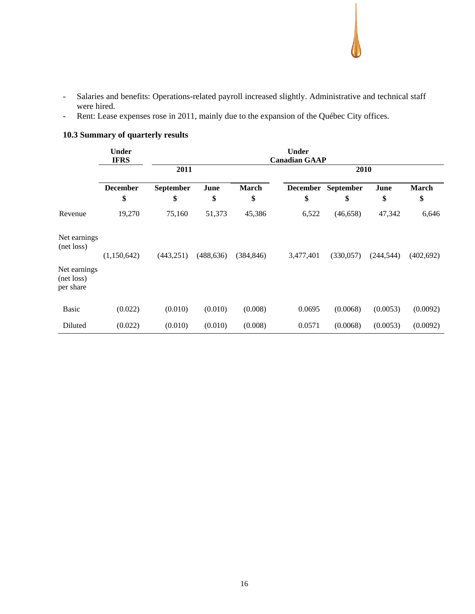- Salaries and benefits: Operations-related payroll increased slightly. Administrative and technical staff were hired.
- Rent: Lease expenses rose in 2011, mainly due to the expansion of the Québec City offices.

|                                         | <b>Under</b><br><b>IFRS</b> |                        |            |                    | <b>Under</b><br><b>Canadian GAAP</b> |                 |            |             |
|-----------------------------------------|-----------------------------|------------------------|------------|--------------------|--------------------------------------|-----------------|------------|-------------|
|                                         |                             | 2011                   |            |                    |                                      | 2010            |            |             |
|                                         | <b>December</b><br>\$       | <b>September</b><br>\$ | June<br>\$ | <b>March</b><br>\$ | <b>December</b><br>\$                | September<br>\$ | June<br>\$ | March<br>\$ |
| Revenue                                 | 19,270                      | 75,160                 | 51,373     | 45,386             | 6,522                                | (46, 658)       | 47,342     | 6,646       |
| Net earnings<br>(net loss)              | (1,150,642)                 | (443, 251)             | (488, 636) | (384, 846)         | 3,477,401                            | (330,057)       | (244, 544) | (402, 692)  |
| Net earnings<br>(net loss)<br>per share |                             |                        |            |                    |                                      |                 |            |             |
| <b>Basic</b>                            | (0.022)                     | (0.010)                | (0.010)    | (0.008)            | 0.0695                               | (0.0068)        | (0.0053)   | (0.0092)    |
| Diluted                                 | (0.022)                     | (0.010)                | (0.010)    | (0.008)            | 0.0571                               | (0.0068)        | (0.0053)   | (0.0092)    |

# **10.3 Summary of quarterly results**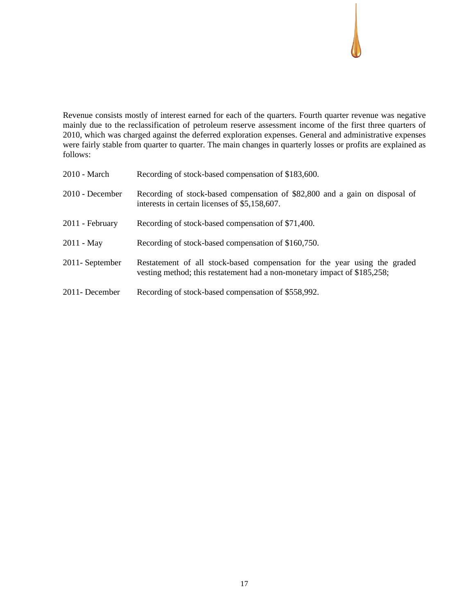Revenue consists mostly of interest earned for each of the quarters. Fourth quarter revenue was negative mainly due to the reclassification of petroleum reserve assessment income of the first three quarters of 2010, which was charged against the deferred exploration expenses. General and administrative expenses were fairly stable from quarter to quarter. The main changes in quarterly losses or profits are explained as follows:

| $2010 - March$    | Recording of stock-based compensation of \$183,600.                                                                                                   |
|-------------------|-------------------------------------------------------------------------------------------------------------------------------------------------------|
| $2010$ - December | Recording of stock-based compensation of \$82,800 and a gain on disposal of<br>interests in certain licenses of \$5,158,607.                          |
| 2011 - February   | Recording of stock-based compensation of \$71,400.                                                                                                    |
| $2011 - May$      | Recording of stock-based compensation of \$160,750.                                                                                                   |
| 2011 - September  | Restatement of all stock-based compensation for the year using the graded<br>vesting method; this restatement had a non-monetary impact of \$185,258; |
| 2011- December    | Recording of stock-based compensation of \$558,992.                                                                                                   |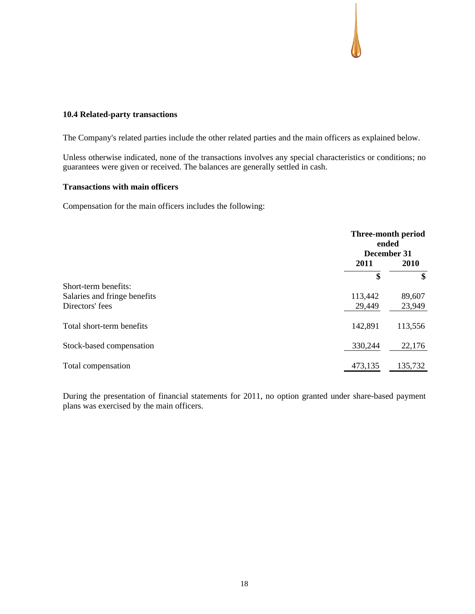### **10.4 Related-party transactions**

The Company's related parties include the other related parties and the main officers as explained below.

Unless otherwise indicated, none of the transactions involves any special characteristics or conditions; no guarantees were given or received. The balances are generally settled in cash.

#### **Transactions with main officers**

Compensation for the main officers includes the following:

|                              |         | Three-month period<br>ended<br>December 31 |  |
|------------------------------|---------|--------------------------------------------|--|
|                              | 2011    | 2010                                       |  |
|                              | \$      | \$                                         |  |
| Short-term benefits:         |         |                                            |  |
| Salaries and fringe benefits | 113,442 | 89,607                                     |  |
| Directors' fees              | 29,449  | 23,949                                     |  |
| Total short-term benefits    | 142,891 | 113,556                                    |  |
| Stock-based compensation     | 330,244 | 22,176                                     |  |
| Total compensation           | 473,135 | 135,732                                    |  |

During the presentation of financial statements for 2011, no option granted under share-based payment plans was exercised by the main officers.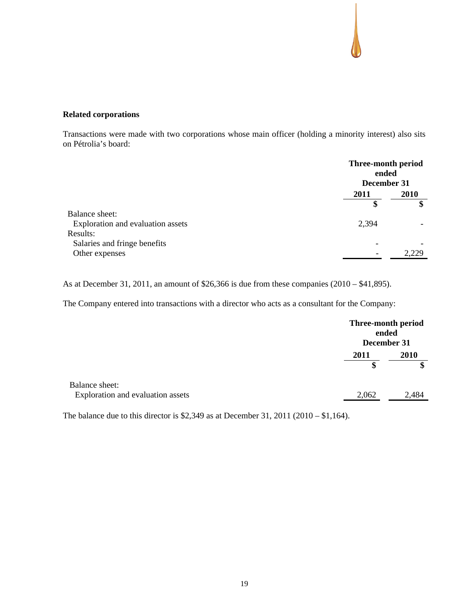### **Related corporations**

Transactions were made with two corporations whose main officer (holding a minority interest) also sits on Pétrolia's board:

|                                   | Three-month period<br>ended<br>December 31 |       |
|-----------------------------------|--------------------------------------------|-------|
|                                   | 2011                                       | 2010  |
|                                   | \$                                         | \$    |
| Balance sheet:                    |                                            |       |
| Exploration and evaluation assets | 2,394                                      |       |
| Results:                          |                                            |       |
| Salaries and fringe benefits      |                                            |       |
| Other expenses                    |                                            | 2.229 |

As at December 31, 2011, an amount of \$26,366 is due from these companies (2010 – \$41,895).

The Company entered into transactions with a director who acts as a consultant for the Company:

|                                                     |       | Three-month period<br>ended<br>December 31 |
|-----------------------------------------------------|-------|--------------------------------------------|
|                                                     | 2011  | 2010                                       |
|                                                     | \$    | \$                                         |
| Balance sheet:<br>Exploration and evaluation assets | 2,062 | 2,484                                      |

The balance due to this director is \$2,349 as at December 31, 2011 (2010 – \$1,164).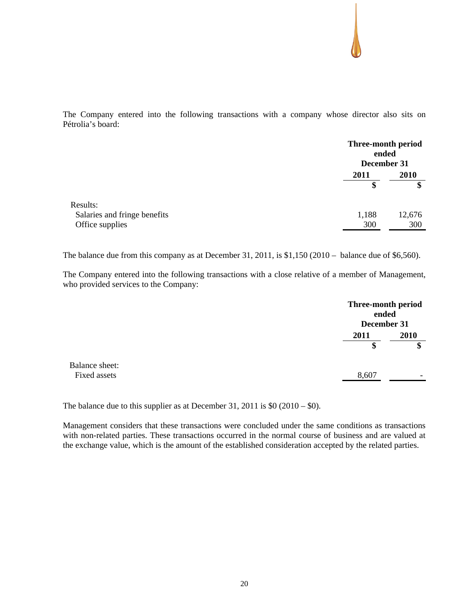The Company entered into the following transactions with a company whose director also sits on Pétrolia's board:

|                              |       | Three-month period<br>ended<br>December 31 |
|------------------------------|-------|--------------------------------------------|
|                              | 2011  | 2010                                       |
|                              | \$    | \$                                         |
| Results:                     |       |                                            |
| Salaries and fringe benefits | 1,188 | 12,676                                     |
| Office supplies              | 300   | 300                                        |

The balance due from this company as at December 31, 2011, is \$1,150 (2010 – balance due of \$6,560).

The Company entered into the following transactions with a close relative of a member of Management, who provided services to the Company:

|                                | Three-month period<br>ended<br>December 31 |           |
|--------------------------------|--------------------------------------------|-----------|
|                                | 2011                                       | 2010<br>œ |
| Balance sheet:<br>Fixed assets | 8,607                                      | -         |

The balance due to this supplier as at December 31, 2011 is  $$0$  (2010 –  $$0$ ).

Management considers that these transactions were concluded under the same conditions as transactions with non-related parties. These transactions occurred in the normal course of business and are valued at the exchange value, which is the amount of the established consideration accepted by the related parties.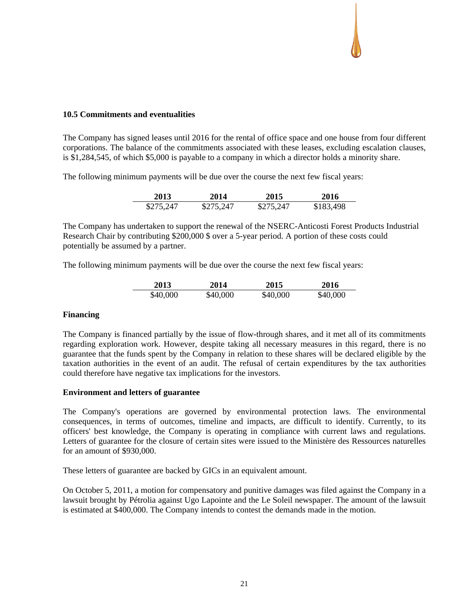### **10.5 Commitments and eventualities**

The Company has signed leases until 2016 for the rental of office space and one house from four different corporations. The balance of the commitments associated with these leases, excluding escalation clauses, is \$1,284,545, of which \$5,000 is payable to a company in which a director holds a minority share.

The following minimum payments will be due over the course the next few fiscal years:

| 2013      | 2014      | 2015      | 2016      |
|-----------|-----------|-----------|-----------|
| \$275,247 | \$275,247 | \$275,247 | \$183,498 |

The Company has undertaken to support the renewal of the NSERC-Anticosti Forest Products Industrial Research Chair by contributing \$200,000 \$ over a 5-year period. A portion of these costs could potentially be assumed by a partner.

The following minimum payments will be due over the course the next few fiscal years:

| 2013     | 2014     | 2015     | 2016     |
|----------|----------|----------|----------|
| \$40,000 | \$40,000 | \$40,000 | \$40,000 |

#### **Financing**

The Company is financed partially by the issue of flow-through shares, and it met all of its commitments regarding exploration work. However, despite taking all necessary measures in this regard, there is no guarantee that the funds spent by the Company in relation to these shares will be declared eligible by the taxation authorities in the event of an audit. The refusal of certain expenditures by the tax authorities could therefore have negative tax implications for the investors.

#### **Environment and letters of guarantee**

The Company's operations are governed by environmental protection laws. The environmental consequences, in terms of outcomes, timeline and impacts, are difficult to identify. Currently, to its officers' best knowledge, the Company is operating in compliance with current laws and regulations. Letters of guarantee for the closure of certain sites were issued to the Ministère des Ressources naturelles for an amount of \$930,000.

These letters of guarantee are backed by GICs in an equivalent amount.

On October 5, 2011, a motion for compensatory and punitive damages was filed against the Company in a lawsuit brought by Pétrolia against Ugo Lapointe and the Le Soleil newspaper. The amount of the lawsuit is estimated at \$400,000. The Company intends to contest the demands made in the motion.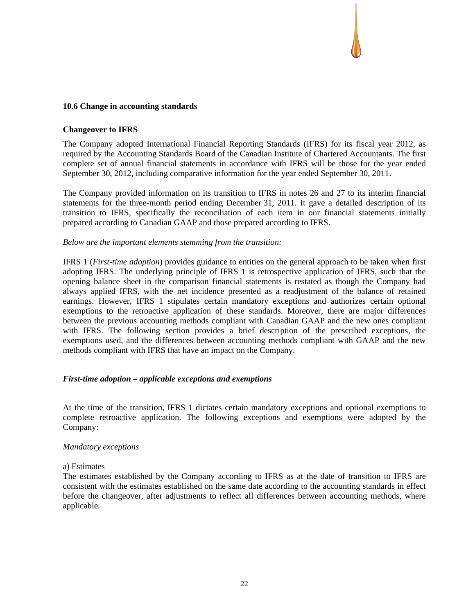### **10.6 Change in accounting standards**

#### **Changeover to IFRS**

The Company adopted International Financial Reporting Standards (IFRS) for its fiscal year 2012, as required by the Accounting Standards Board of the Canadian Institute of Chartered Accountants. The first complete set of annual financial statements in accordance with IFRS will be those for the year ended September 30, 2012, including comparative information for the year ended September 30, 2011.

The Company provided information on its transition to IFRS in notes 26 and 27 to its interim financial statements for the three-month period ending December 31, 2011. It gave a detailed description of its transition to IFRS, specifically the reconciliation of each item in our financial statements initially prepared according to Canadian GAAP and those prepared according to IFRS.

#### *Below are the important elements stemming from the transition:*

IFRS 1 (*First-time adoption*) provides guidance to entities on the general approach to be taken when first adopting IFRS. The underlying principle of IFRS 1 is retrospective application of IFRS, such that the opening balance sheet in the comparison financial statements is restated as though the Company had always applied IFRS, with the net incidence presented as a readjustment of the balance of retained earnings. However, IFRS 1 stipulates certain mandatory exceptions and authorizes certain optional exemptions to the retroactive application of these standards. Moreover, there are major differences between the previous accounting methods compliant with Canadian GAAP and the new ones compliant with IFRS. The following section provides a brief description of the prescribed exceptions, the exemptions used, and the differences between accounting methods compliant with GAAP and the new methods compliant with IFRS that have an impact on the Company.

### *First-time adoption – applicable exceptions and exemptions*

At the time of the transition, IFRS 1 dictates certain mandatory exceptions and optional exemptions to complete retroactive application. The following exceptions and exemptions were adopted by the Company:

#### *Mandatory exceptions*

### a) Estimates

The estimates established by the Company according to IFRS as at the date of transition to IFRS are consistent with the estimates established on the same date according to the accounting standards in effect before the changeover, after adjustments to reflect all differences between accounting methods, where applicable.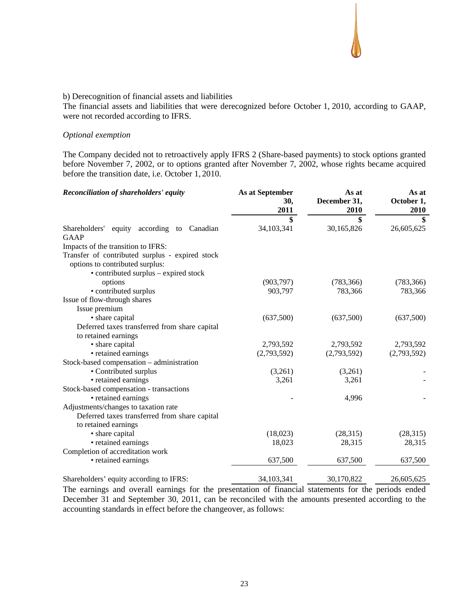#### b) Derecognition of financial assets and liabilities

The financial assets and liabilities that were derecognized before October 1, 2010, according to GAAP, were not recorded according to IFRS.

#### *Optional exemption*

The Company decided not to retroactively apply IFRS 2 (Share-based payments) to stock options granted before November 7, 2002, or to options granted after November 7, 2002, whose rights became acquired before the transition date, i.e. October 1, 2010.

| Reconciliation of shareholders' equity          | As at September<br>30,<br>2011 | As at<br>December 31,<br>2010 | As at<br>October 1,<br>2010 |
|-------------------------------------------------|--------------------------------|-------------------------------|-----------------------------|
|                                                 | \$                             | \$                            | \$                          |
| Shareholders' equity according to Canadian      | 34,103,341                     | 30,165,826                    | 26,605,625                  |
| GAAP                                            |                                |                               |                             |
| Impacts of the transition to IFRS:              |                                |                               |                             |
| Transfer of contributed surplus - expired stock |                                |                               |                             |
| options to contributed surplus:                 |                                |                               |                             |
| • contributed surplus – expired stock           |                                |                               |                             |
| options                                         | (903, 797)                     | (783, 366)                    | (783, 366)                  |
| • contributed surplus                           | 903,797                        | 783,366                       | 783,366                     |
| Issue of flow-through shares                    |                                |                               |                             |
| Issue premium                                   |                                |                               |                             |
| • share capital                                 | (637,500)                      | (637,500)                     | (637,500)                   |
| Deferred taxes transferred from share capital   |                                |                               |                             |
| to retained earnings                            |                                |                               |                             |
| • share capital                                 | 2,793,592                      | 2,793,592                     | 2,793,592                   |
| • retained earnings                             | (2,793,592)                    | (2,793,592)                   | (2,793,592)                 |
| Stock-based compensation – administration       |                                |                               |                             |
| • Contributed surplus                           | (3,261)                        | (3,261)                       |                             |
| • retained earnings                             | 3,261                          | 3,261                         |                             |
| Stock-based compensation - transactions         |                                |                               |                             |
| • retained earnings                             |                                | 4,996                         |                             |
| Adjustments/changes to taxation rate            |                                |                               |                             |
| Deferred taxes transferred from share capital   |                                |                               |                             |
| to retained earnings                            |                                |                               |                             |
| • share capital                                 | (18,023)                       | (28,315)                      | (28,315)                    |
| • retained earnings                             | 18,023                         | 28,315                        | 28,315                      |
| Completion of accreditation work                |                                |                               |                             |
| • retained earnings                             | 637,500                        | 637,500                       | 637,500                     |
| Shareholders' equity according to IFRS:         | 34,103,341                     | 30,170,822                    | 26,605,625                  |

The earnings and overall earnings for the presentation of financial statements for the periods ended December 31 and September 30, 2011, can be reconciled with the amounts presented according to the accounting standards in effect before the changeover, as follows: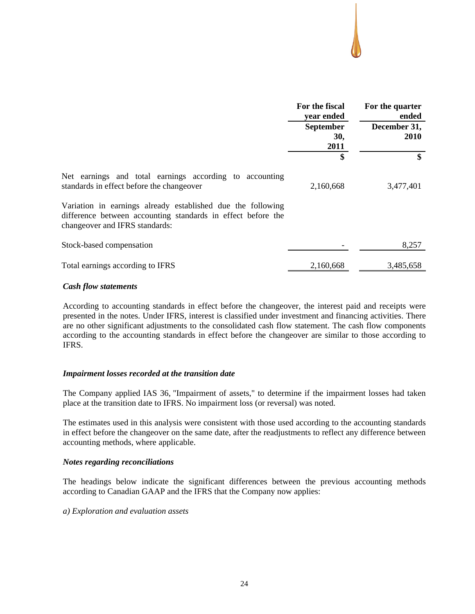|                                                                                                                                                               | For the fiscal<br>year ended    | For the quarter<br>ended    |  |  |
|---------------------------------------------------------------------------------------------------------------------------------------------------------------|---------------------------------|-----------------------------|--|--|
|                                                                                                                                                               | <b>September</b><br>30,<br>2011 | December 31,<br><b>2010</b> |  |  |
|                                                                                                                                                               | \$                              | \$                          |  |  |
| Net earnings and total earnings according to accounting<br>standards in effect before the changeover                                                          | 2,160,668                       | 3,477,401                   |  |  |
| Variation in earnings already established due the following<br>difference between accounting standards in effect before the<br>changeover and IFRS standards: |                                 |                             |  |  |
| Stock-based compensation                                                                                                                                      |                                 | 8,257                       |  |  |
| Total earnings according to IFRS                                                                                                                              | 2,160,668                       | 3,485,658                   |  |  |

#### *Cash flow statements*

According to accounting standards in effect before the changeover, the interest paid and receipts were presented in the notes. Under IFRS, interest is classified under investment and financing activities. There are no other significant adjustments to the consolidated cash flow statement. The cash flow components according to the accounting standards in effect before the changeover are similar to those according to IFRS.

## *Impairment losses recorded at the transition date*

The Company applied IAS 36, "Impairment of assets," to determine if the impairment losses had taken place at the transition date to IFRS. No impairment loss (or reversal) was noted.

The estimates used in this analysis were consistent with those used according to the accounting standards in effect before the changeover on the same date, after the readjustments to reflect any difference between accounting methods, where applicable.

## *Notes regarding reconciliations*

The headings below indicate the significant differences between the previous accounting methods according to Canadian GAAP and the IFRS that the Company now applies:

#### *a) Exploration and evaluation assets*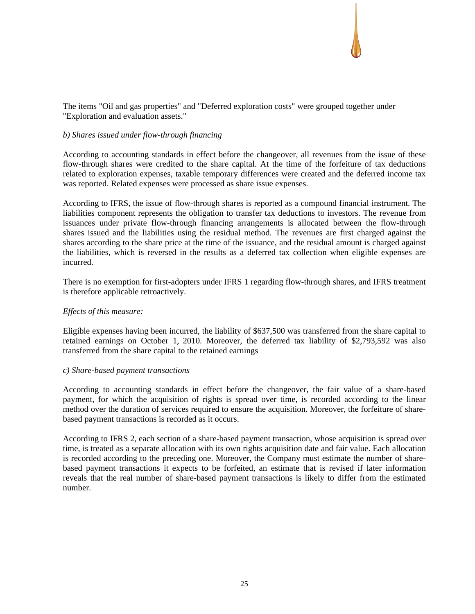## The items "Oil and gas properties" and "Deferred exploration costs" were grouped together under "Exploration and evaluation assets."

## *b) Shares issued under flow-through financing*

According to accounting standards in effect before the changeover, all revenues from the issue of these flow-through shares were credited to the share capital. At the time of the forfeiture of tax deductions related to exploration expenses, taxable temporary differences were created and the deferred income tax was reported. Related expenses were processed as share issue expenses.

According to IFRS, the issue of flow-through shares is reported as a compound financial instrument. The liabilities component represents the obligation to transfer tax deductions to investors. The revenue from issuances under private flow-through financing arrangements is allocated between the flow-through shares issued and the liabilities using the residual method. The revenues are first charged against the shares according to the share price at the time of the issuance, and the residual amount is charged against the liabilities, which is reversed in the results as a deferred tax collection when eligible expenses are incurred.

There is no exemption for first-adopters under IFRS 1 regarding flow-through shares, and IFRS treatment is therefore applicable retroactively.

#### *Effects of this measure:*

Eligible expenses having been incurred, the liability of \$637,500 was transferred from the share capital to retained earnings on October 1, 2010. Moreover, the deferred tax liability of \$2,793,592 was also transferred from the share capital to the retained earnings

#### *c) Share-based payment transactions*

According to accounting standards in effect before the changeover, the fair value of a share-based payment, for which the acquisition of rights is spread over time, is recorded according to the linear method over the duration of services required to ensure the acquisition. Moreover, the forfeiture of sharebased payment transactions is recorded as it occurs.

According to IFRS 2, each section of a share-based payment transaction, whose acquisition is spread over time, is treated as a separate allocation with its own rights acquisition date and fair value. Each allocation is recorded according to the preceding one. Moreover, the Company must estimate the number of sharebased payment transactions it expects to be forfeited, an estimate that is revised if later information reveals that the real number of share-based payment transactions is likely to differ from the estimated number.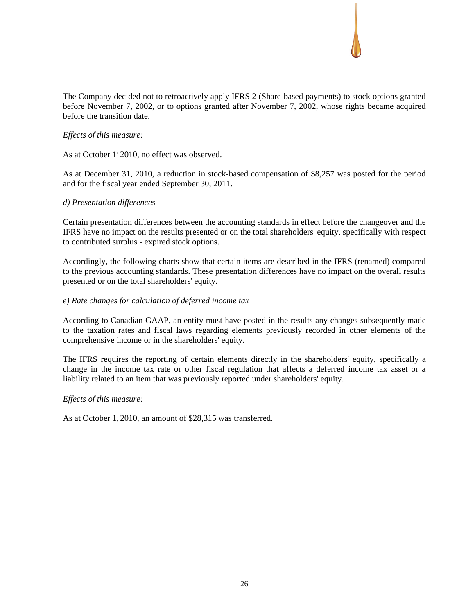The Company decided not to retroactively apply IFRS 2 (Share-based payments) to stock options granted before November 7, 2002, or to options granted after November 7, 2002, whose rights became acquired before the transition date.

## *Effects of this measure:*

As at October 1<sup>'</sup> 2010, no effect was observed.

As at December 31, 2010, a reduction in stock-based compensation of \$8,257 was posted for the period and for the fiscal year ended September 30, 2011.

### *d) Presentation differences*

Certain presentation differences between the accounting standards in effect before the changeover and the IFRS have no impact on the results presented or on the total shareholders' equity, specifically with respect to contributed surplus - expired stock options.

Accordingly, the following charts show that certain items are described in the IFRS (renamed) compared to the previous accounting standards. These presentation differences have no impact on the overall results presented or on the total shareholders' equity.

### *e) Rate changes for calculation of deferred income tax*

According to Canadian GAAP, an entity must have posted in the results any changes subsequently made to the taxation rates and fiscal laws regarding elements previously recorded in other elements of the comprehensive income or in the shareholders' equity.

The IFRS requires the reporting of certain elements directly in the shareholders' equity, specifically a change in the income tax rate or other fiscal regulation that affects a deferred income tax asset or a liability related to an item that was previously reported under shareholders' equity.

#### *Effects of this measure:*

As at October 1, 2010, an amount of \$28,315 was transferred.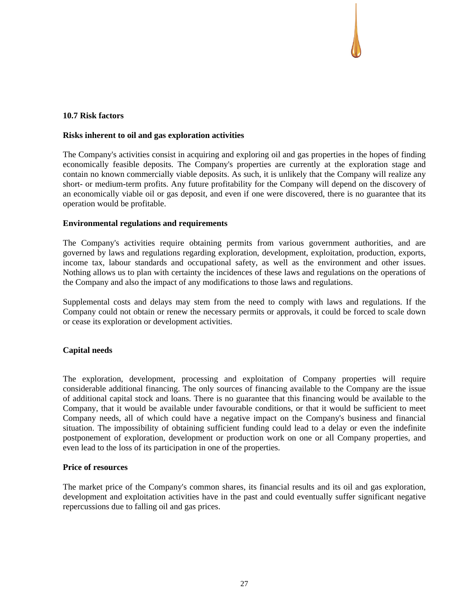### **10.7 Risk factors**

#### **Risks inherent to oil and gas exploration activities**

The Company's activities consist in acquiring and exploring oil and gas properties in the hopes of finding economically feasible deposits. The Company's properties are currently at the exploration stage and contain no known commercially viable deposits. As such, it is unlikely that the Company will realize any short- or medium-term profits. Any future profitability for the Company will depend on the discovery of an economically viable oil or gas deposit, and even if one were discovered, there is no guarantee that its operation would be profitable.

#### **Environmental regulations and requirements**

The Company's activities require obtaining permits from various government authorities, and are governed by laws and regulations regarding exploration, development, exploitation, production, exports, income tax, labour standards and occupational safety, as well as the environment and other issues. Nothing allows us to plan with certainty the incidences of these laws and regulations on the operations of the Company and also the impact of any modifications to those laws and regulations.

Supplemental costs and delays may stem from the need to comply with laws and regulations. If the Company could not obtain or renew the necessary permits or approvals, it could be forced to scale down or cease its exploration or development activities.

## **Capital needs**

The exploration, development, processing and exploitation of Company properties will require considerable additional financing. The only sources of financing available to the Company are the issue of additional capital stock and loans. There is no guarantee that this financing would be available to the Company, that it would be available under favourable conditions, or that it would be sufficient to meet Company needs, all of which could have a negative impact on the Company's business and financial situation. The impossibility of obtaining sufficient funding could lead to a delay or even the indefinite postponement of exploration, development or production work on one or all Company properties, and even lead to the loss of its participation in one of the properties.

#### **Price of resources**

The market price of the Company's common shares, its financial results and its oil and gas exploration, development and exploitation activities have in the past and could eventually suffer significant negative repercussions due to falling oil and gas prices.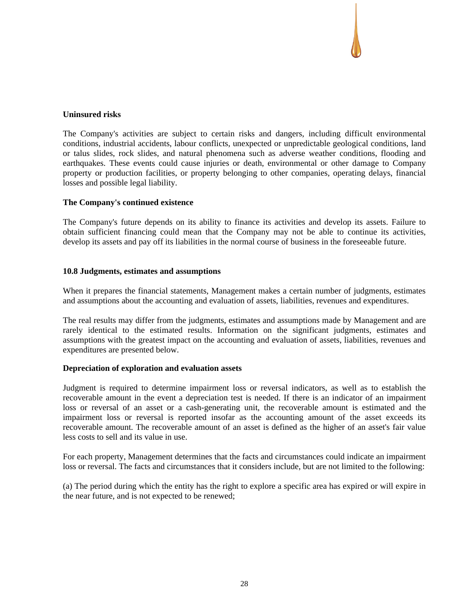### **Uninsured risks**

The Company's activities are subject to certain risks and dangers, including difficult environmental conditions, industrial accidents, labour conflicts, unexpected or unpredictable geological conditions, land or talus slides, rock slides, and natural phenomena such as adverse weather conditions, flooding and earthquakes. These events could cause injuries or death, environmental or other damage to Company property or production facilities, or property belonging to other companies, operating delays, financial losses and possible legal liability.

### **The Company's continued existence**

The Company's future depends on its ability to finance its activities and develop its assets. Failure to obtain sufficient financing could mean that the Company may not be able to continue its activities, develop its assets and pay off its liabilities in the normal course of business in the foreseeable future.

### **10.8 Judgments, estimates and assumptions**

When it prepares the financial statements, Management makes a certain number of judgments, estimates and assumptions about the accounting and evaluation of assets, liabilities, revenues and expenditures.

The real results may differ from the judgments, estimates and assumptions made by Management and are rarely identical to the estimated results. Information on the significant judgments, estimates and assumptions with the greatest impact on the accounting and evaluation of assets, liabilities, revenues and expenditures are presented below.

#### **Depreciation of exploration and evaluation assets**

Judgment is required to determine impairment loss or reversal indicators, as well as to establish the recoverable amount in the event a depreciation test is needed. If there is an indicator of an impairment loss or reversal of an asset or a cash-generating unit, the recoverable amount is estimated and the impairment loss or reversal is reported insofar as the accounting amount of the asset exceeds its recoverable amount. The recoverable amount of an asset is defined as the higher of an asset's fair value less costs to sell and its value in use.

For each property, Management determines that the facts and circumstances could indicate an impairment loss or reversal. The facts and circumstances that it considers include, but are not limited to the following:

(a) The period during which the entity has the right to explore a specific area has expired or will expire in the near future, and is not expected to be renewed;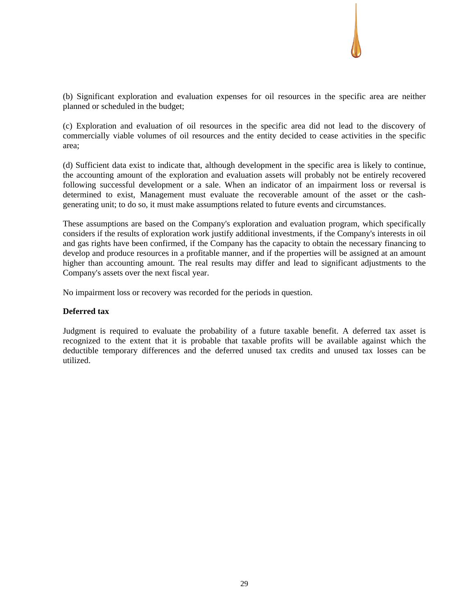

(b) Significant exploration and evaluation expenses for oil resources in the specific area are neither planned or scheduled in the budget;

(c) Exploration and evaluation of oil resources in the specific area did not lead to the discovery of commercially viable volumes of oil resources and the entity decided to cease activities in the specific area;

(d) Sufficient data exist to indicate that, although development in the specific area is likely to continue, the accounting amount of the exploration and evaluation assets will probably not be entirely recovered following successful development or a sale. When an indicator of an impairment loss or reversal is determined to exist, Management must evaluate the recoverable amount of the asset or the cashgenerating unit; to do so, it must make assumptions related to future events and circumstances.

These assumptions are based on the Company's exploration and evaluation program, which specifically considers if the results of exploration work justify additional investments, if the Company's interests in oil and gas rights have been confirmed, if the Company has the capacity to obtain the necessary financing to develop and produce resources in a profitable manner, and if the properties will be assigned at an amount higher than accounting amount. The real results may differ and lead to significant adjustments to the Company's assets over the next fiscal year.

No impairment loss or recovery was recorded for the periods in question.

## **Deferred tax**

Judgment is required to evaluate the probability of a future taxable benefit. A deferred tax asset is recognized to the extent that it is probable that taxable profits will be available against which the deductible temporary differences and the deferred unused tax credits and unused tax losses can be utilized.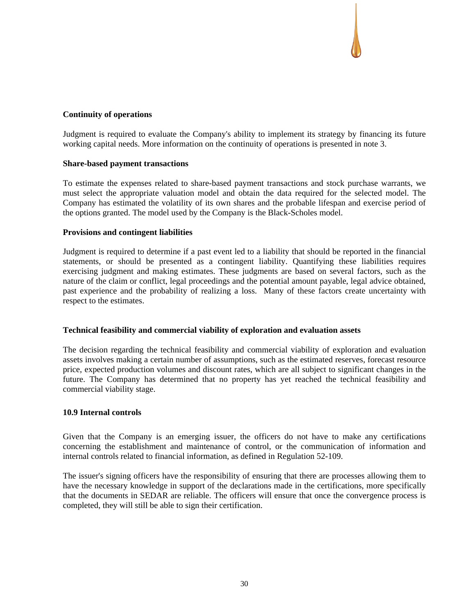### **Continuity of operations**

Judgment is required to evaluate the Company's ability to implement its strategy by financing its future working capital needs. More information on the continuity of operations is presented in note 3.

### **Share-based payment transactions**

To estimate the expenses related to share-based payment transactions and stock purchase warrants, we must select the appropriate valuation model and obtain the data required for the selected model. The Company has estimated the volatility of its own shares and the probable lifespan and exercise period of the options granted. The model used by the Company is the Black-Scholes model.

### **Provisions and contingent liabilities**

Judgment is required to determine if a past event led to a liability that should be reported in the financial statements, or should be presented as a contingent liability. Quantifying these liabilities requires exercising judgment and making estimates. These judgments are based on several factors, such as the nature of the claim or conflict, legal proceedings and the potential amount payable, legal advice obtained, past experience and the probability of realizing a loss. Many of these factors create uncertainty with respect to the estimates.

## **Technical feasibility and commercial viability of exploration and evaluation assets**

The decision regarding the technical feasibility and commercial viability of exploration and evaluation assets involves making a certain number of assumptions, such as the estimated reserves, forecast resource price, expected production volumes and discount rates, which are all subject to significant changes in the future. The Company has determined that no property has yet reached the technical feasibility and commercial viability stage.

#### **10.9 Internal controls**

Given that the Company is an emerging issuer, the officers do not have to make any certifications concerning the establishment and maintenance of control, or the communication of information and internal controls related to financial information, as defined in Regulation 52-109.

The issuer's signing officers have the responsibility of ensuring that there are processes allowing them to have the necessary knowledge in support of the declarations made in the certifications, more specifically that the documents in SEDAR are reliable. The officers will ensure that once the convergence process is completed, they will still be able to sign their certification.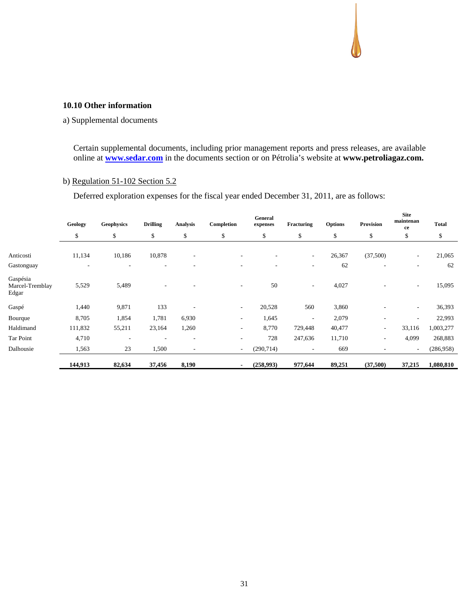#### **10.10 Other information**

### a) Supplemental documents

Certain supplemental documents, including prior management reports and press releases, are available online at **www.sedar.com** in the documents section or on Pétrolia's website at **www.petroliagaz.com.**

# b) Regulation 51-102 Section 5.2

Deferred exploration expenses for the fiscal year ended December 31, 2011, are as follows:

|                                      | Geology<br>\$ | <b>Geophysics</b> | <b>Drilling</b> | <b>Analysis</b>          | Completion | General<br>expenses      | Fracturing               | <b>Options</b> | <b>Provision</b>         | <b>Site</b><br>maintenan<br>ce | <b>Total</b> |  |
|--------------------------------------|---------------|-------------------|-----------------|--------------------------|------------|--------------------------|--------------------------|----------------|--------------------------|--------------------------------|--------------|--|
|                                      |               | \$                | \$              | \$                       | \$         | \$                       | \$                       | \$             | \$                       | \$                             | \$           |  |
| Anticosti                            | 11,134        | 10,186            | 10,878          | $\overline{\phantom{a}}$ |            | $\overline{\phantom{a}}$ | $\sim$                   | 26,367         | (37,500)                 | $\overline{\phantom{a}}$       | 21,065       |  |
| Gastonguay                           |               |                   |                 |                          |            |                          | ۰                        | 62             |                          | ٠                              | 62           |  |
| Gaspésia<br>Marcel-Tremblay<br>Edgar | 5,529         | 5,489             |                 |                          | ٠.         | 50                       | $\overline{\phantom{a}}$ | 4,027          | ٠                        | $\overline{\phantom{a}}$       | 15,095       |  |
| Gaspé                                | 1,440         | 9,871             | 133             |                          | ٠.         | 20,528                   | 560                      | 3,860          |                          | $\overline{\phantom{a}}$       | 36,393       |  |
| Bourque                              | 8,705         | 1,854             | 1,781           | 6,930                    | ۰          | 1,645                    |                          | 2,079          |                          | $\overline{\phantom{a}}$       | 22,993       |  |
| Haldimand                            | 111,832       | 55,211            | 23,164          | 1,260                    | ۰          | 8,770                    | 729,448                  | 40,477         | $\overline{\phantom{a}}$ | 33,116                         | 1,003,277    |  |
| Tar Point                            | 4,710         |                   |                 |                          |            | 728                      | 247,636                  | 11,710         | ٠                        | 4,099                          | 268,883      |  |
| Dalhousie                            | 1,563         | 23                | 1,500           | $\overline{\phantom{a}}$ | -          | (290, 714)               | $\overline{\phantom{a}}$ | 669            |                          | $\overline{\phantom{a}}$       | (286,958)    |  |
|                                      | 144,913       | 82,634            | 37,456          | 8,190                    |            | (258,993)                | 977,644                  | 89,251         | (37,500)                 | 37,215                         | 1,080,810    |  |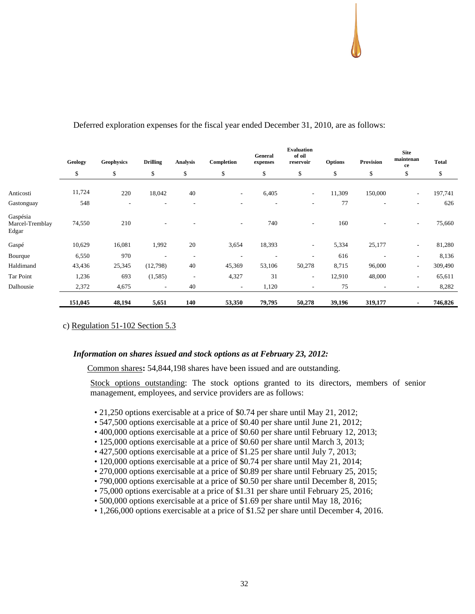|                                      | Geology | <b>Geophysics</b>        | <b>Drilling</b>          | <b>Analysis</b>          | Completion               | General<br>expenses | <b>Evaluation</b><br>of oil<br>reservoir | <b>Options</b> | <b>Provision</b>         | <b>Site</b><br>maintenan<br>ce | <b>Total</b> |
|--------------------------------------|---------|--------------------------|--------------------------|--------------------------|--------------------------|---------------------|------------------------------------------|----------------|--------------------------|--------------------------------|--------------|
|                                      | \$      | \$                       | \$                       | \$                       | \$                       | \$                  | \$                                       | \$             | \$                       | \$                             | \$           |
| Anticosti                            | 11,724  | 220                      | 18,042                   | 40                       | $\overline{\phantom{a}}$ | 6,405               | $\sim$                                   | 11,309         | 150,000                  | $\overline{\phantom{0}}$       | 197,741      |
| Gastonguay                           | 548     | $\overline{\phantom{a}}$ |                          |                          | ۰                        | ٠                   | $\overline{\phantom{a}}$                 | 77             | $\overline{\phantom{a}}$ | ٠                              | 626          |
| Gaspésia<br>Marcel-Tremblay<br>Edgar | 74,550  | 210                      |                          |                          | $\overline{\phantom{a}}$ | 740                 | ٠                                        | 160            | $\overline{\phantom{a}}$ | $\sim$                         | 75,660       |
| Gaspé                                | 10,629  | 16,081                   | 1,992                    | 20                       | 3,654                    | 18,393              | $\sim$                                   | 5,334          | 25,177                   | $\sim$                         | 81,280       |
| Bourque                              | 6,550   | 970                      |                          | $\overline{\phantom{a}}$ | ٠                        | ۰                   | ٠                                        | 616            |                          | $\overline{\phantom{a}}$       | 8,136        |
| Haldimand                            | 43,436  | 25,345                   | (12,798)                 | 40                       | 45,369                   | 53,106              | 50,278                                   | 8,715          | 96,000                   | ۰.                             | 309,490      |
| Tar Point                            | 1,236   | 693                      | (1,585)                  | $\overline{\phantom{a}}$ | 4,327                    | 31                  | $\overline{\phantom{a}}$                 | 12,910         | 48,000                   | ۰.                             | 65,611       |
| Dalhousie                            | 2,372   | 4,675                    | $\overline{\phantom{a}}$ | 40                       | $\overline{\phantom{a}}$ | 1,120               | -                                        | 75             | $\overline{\phantom{a}}$ | ۰.                             | 8,282        |
|                                      | 151,045 | 48,194                   | 5,651                    | 140                      | 53,350                   | 79,795              | 50,278                                   | 39,196         | 319,177                  |                                | 746,826      |

## Deferred exploration expenses for the fiscal year ended December 31, 2010, are as follows:

c) Regulation 51-102 Section 5.3

#### *Information on shares issued and stock options as at February 23, 2012:*

Common shares**:** 54,844,198 shares have been issued and are outstanding.

Stock options outstanding: The stock options granted to its directors, members of senior management, employees, and service providers are as follows:

- 21,250 options exercisable at a price of \$0.74 per share until May 21, 2012;
- 547,500 options exercisable at a price of \$0.40 per share until June 21, 2012;
- 400,000 options exercisable at a price of \$0.60 per share until February 12, 2013;
- 125,000 options exercisable at a price of \$0.60 per share until March 3, 2013;
- 427,500 options exercisable at a price of \$1.25 per share until July 7, 2013;
- 120,000 options exercisable at a price of \$0.74 per share until May 21, 2014;
- 270,000 options exercisable at a price of \$0.89 per share until February 25, 2015;
- 790,000 options exercisable at a price of \$0.50 per share until December 8, 2015;
- 75,000 options exercisable at a price of \$1.31 per share until February 25, 2016;
- 500,000 options exercisable at a price of \$1.69 per share until May 18, 2016;
- 1,266,000 options exercisable at a price of \$1.52 per share until December 4, 2016.